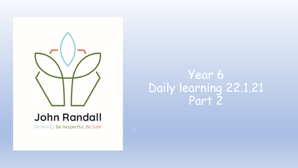

## **John Randall**

Be Ready, Be Respectful, Be Safe

## Year 6 Daily learning 22.1.21 Part 2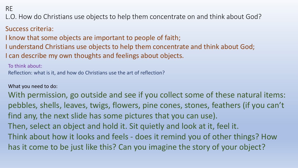RE

L.O. How do Christians use objects to help them concentrate on and think about God?

### Success criteria:

I know that some objects are important to people of faith;

I understand Christians use objects to help them concentrate and think about God;

I can describe my own thoughts and feelings about objects.

To think about:

Reflection: what is it, and how do Christians use the art of reflection?

#### What you need to do:

With permission, go outside and see if you collect some of these natural items: pebbles, shells, leaves, twigs, flowers, pine cones, stones, feathers (if you can't find any, the next slide has some pictures that you can use). Then, select an object and hold it. Sit quietly and look at it, feel it. Think about how it looks and feels - does it remind you of other things? How has it come to be just like this? Can you imagine the story of your object?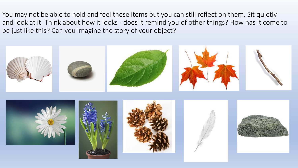You may not be able to hold and feel these items but you can still reflect on them. Sit quietly and look at it. Think about how it looks - does it remind you of other things? How has it come to be just like this? Can you imagine the story of your object?

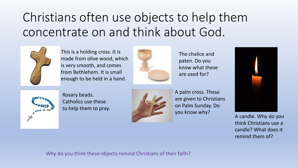# Christians often use objects to help them concentrate on and think about God.



This is a holding cross. It is made from olive wood, which is very smooth, and comes from Bethlehem. It is small enough to be held in a hand.



The chalice and paten. Do you know what these are used for?



Rosary beads. Catholics use these to help them to pray.



A palm cross. These are given to Christians on Palm Sunday. Do you know why?



A candle. Why do you think Christians use a candle? What does it remind them of?

Why do you think these objects remind Christians of their faith?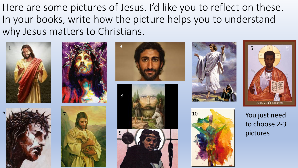Here are some pictures of Jesus. I'd like you to reflect on these. In your books, write how the picture helps you to understand why Jesus matters to Christians.